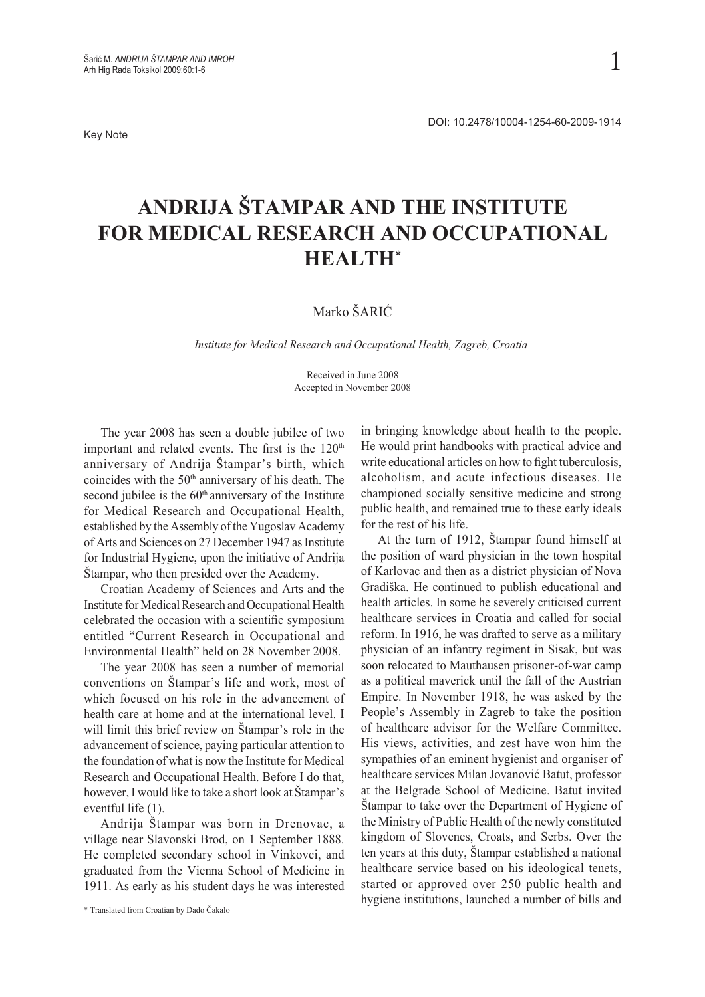Key Note

## **ANDRIJA ŠTAMPAR AND THE INSTITUTE FOR MEDICAL RESEARCH AND OCCUPATIONAL HEALTH\***

Marko ŠARIĆ

*Institute for Medical Research and Occupational Health, Zagreb, Croatia*

Received in June 2008 Accepted in November 2008

The year 2008 has seen a double jubilee of two important and related events. The first is the 120<sup>th</sup> anniversary of Andrija Štampar's birth, which coincides with the 50<sup>th</sup> anniversary of his death. The second jubilee is the  $60<sup>th</sup>$  anniversary of the Institute for Medical Research and Occupational Health, established by the Assembly of the Yugoslav Academy of Arts and Sciences on 27 December 1947 as Institute for Industrial Hygiene, upon the initiative of Andrija Štampar, who then presided over the Academy.

Croatian Academy of Sciences and Arts and the Institute for Medical Research and Occupational Health celebrated the occasion with a scientific symposium entitled "Current Research in Occupational and Environmental Health" held on 28 November 2008.

The year 2008 has seen a number of memorial conventions on Štampar's life and work, most of which focused on his role in the advancement of health care at home and at the international level. I will limit this brief review on Štampar's role in the advancement of science, paying particular attention to the foundation of what is now the Institute for Medical Research and Occupational Health. Before I do that, however, I would like to take a short look at Štampar's eventful life (1).

Andrija Štampar was born in Drenovac, a village near Slavonski Brod, on 1 September 1888. He completed secondary school in Vinkovci, and graduated from the Vienna School of Medicine in 1911. As early as his student days he was interested in bringing knowledge about health to the people. He would print handbooks with practical advice and write educational articles on how to fight tuberculosis, alcoholism, and acute infectious diseases. He championed socially sensitive medicine and strong public health, and remained true to these early ideals for the rest of his life.

At the turn of 1912, Štampar found himself at the position of ward physician in the town hospital of Karlovac and then as a district physician of Nova Gradiška. He continued to publish educational and health articles. In some he severely criticised current healthcare services in Croatia and called for social reform. In 1916, he was drafted to serve as a military physician of an infantry regiment in Sisak, but was soon relocated to Mauthausen prisoner-of-war camp as a political maverick until the fall of the Austrian Empire. In November 1918, he was asked by the People's Assembly in Zagreb to take the position of healthcare advisor for the Welfare Committee. His views, activities, and zest have won him the sympathies of an eminent hygienist and organiser of healthcare services Milan Jovanović Batut, professor at the Belgrade School of Medicine. Batut invited Štampar to take over the Department of Hygiene of the Ministry of Public Health of the newly constituted kingdom of Slovenes, Croats, and Serbs. Over the ten years at this duty, Štampar established a national healthcare service based on his ideological tenets, started or approved over 250 public health and hygiene institutions, launched a number of bills and

<sup>\*</sup> Translated from Croatian by Dado Čakalo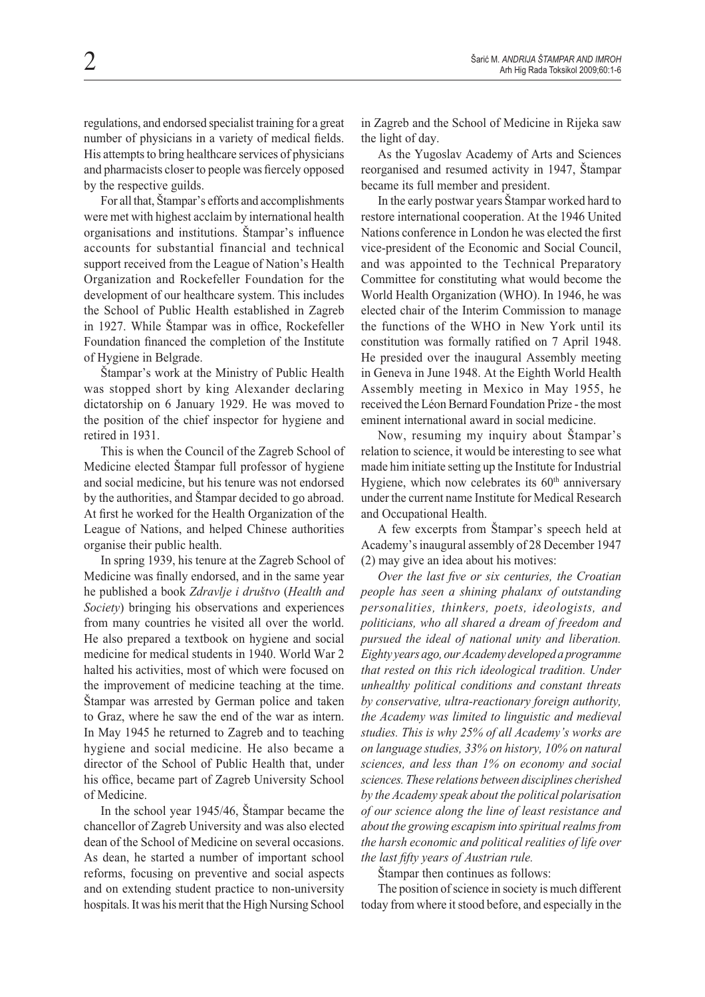regulations, and endorsed specialist training for a great number of physicians in a variety of medical fields. His attempts to bring healthcare services of physicians and pharmacists closer to people was fiercely opposed by the respective guilds.

For all that, Štampar's efforts and accomplishments were met with highest acclaim by international health organisations and institutions. Štampar's influence accounts for substantial financial and technical support received from the League of Nation's Health Organization and Rockefeller Foundation for the development of our healthcare system. This includes the School of Public Health established in Zagreb in 1927. While Stampar was in office, Rockefeller Foundation financed the completion of the Institute of Hygiene in Belgrade.

Štampar's work at the Ministry of Public Health was stopped short by king Alexander declaring dictatorship on 6 January 1929. He was moved to the position of the chief inspector for hygiene and retired in 1931.

This is when the Council of the Zagreb School of Medicine elected Štampar full professor of hygiene and social medicine, but his tenure was not endorsed by the authorities, and Štampar decided to go abroad. At first he worked for the Health Organization of the League of Nations, and helped Chinese authorities organise their public health.

In spring 1939, his tenure at the Zagreb School of Medicine was finally endorsed, and in the same year he published a book *Zdravlje i društvo* (*Health and Society*) bringing his observations and experiences from many countries he visited all over the world. He also prepared a textbook on hygiene and social medicine for medical students in 1940. World War 2 halted his activities, most of which were focused on the improvement of medicine teaching at the time. Štampar was arrested by German police and taken to Graz, where he saw the end of the war as intern. In May 1945 he returned to Zagreb and to teaching hygiene and social medicine. He also became a director of the School of Public Health that, under his office, became part of Zagreb University School of Medicine.

In the school year 1945/46, Štampar became the chancellor of Zagreb University and was also elected dean of the School of Medicine on several occasions. As dean, he started a number of important school reforms, focusing on preventive and social aspects and on extending student practice to non-university hospitals. It was his merit that the High Nursing School

in Zagreb and the School of Medicine in Rijeka saw the light of day.

As the Yugoslav Academy of Arts and Sciences reorganised and resumed activity in 1947, Štampar became its full member and president.

In the early postwar years Štampar worked hard to restore international cooperation. At the 1946 United Nations conference in London he was elected the first vice-president of the Economic and Social Council, and was appointed to the Technical Preparatory Committee for constituting what would become the World Health Organization (WHO). In 1946, he was elected chair of the Interim Commission to manage the functions of the WHO in New York until its constitution was formally ratified on 7 April 1948. He presided over the inaugural Assembly meeting in Geneva in June 1948. At the Eighth World Health Assembly meeting in Mexico in May 1955, he received the Léon Bernard Foundation Prize - the most eminent international award in social medicine.

Now, resuming my inquiry about Štampar's relation to science, it would be interesting to see what made him initiate setting up the Institute for Industrial Hygiene, which now celebrates its  $60<sup>th</sup>$  anniversary under the current name Institute for Medical Research and Occupational Health.

A few excerpts from Štampar's speech held at Academy's inaugural assembly of 28 December 1947 (2) may give an idea about his motives:

*Over the last five or six centuries, the Croatian people has seen a shining phalanx of outstanding personalities, thinkers, poets, ideologists, and politicians, who all shared a dream of freedom and pursued the ideal of national unity and liberation. Eighty years ago, our Academy developed a programme that rested on this rich ideological tradition. Under unhealthy political conditions and constant threats by conservative, ultra-reactionary foreign authority, the Academy was limited to linguistic and medieval studies. This is why 25% of all Academy's works are on language studies, 33% on history, 10% on natural sciences, and less than 1% on economy and social sciences. These relations between disciplines cherished by the Academy speak about the political polarisation of our science along the line of least resistance and about the growing escapism into spiritual realms from the harsh economic and political realities of life over the last fifty years of Austrian rule.* 

Štampar then continues as follows:

The position of science in society is much different today from where it stood before, and especially in the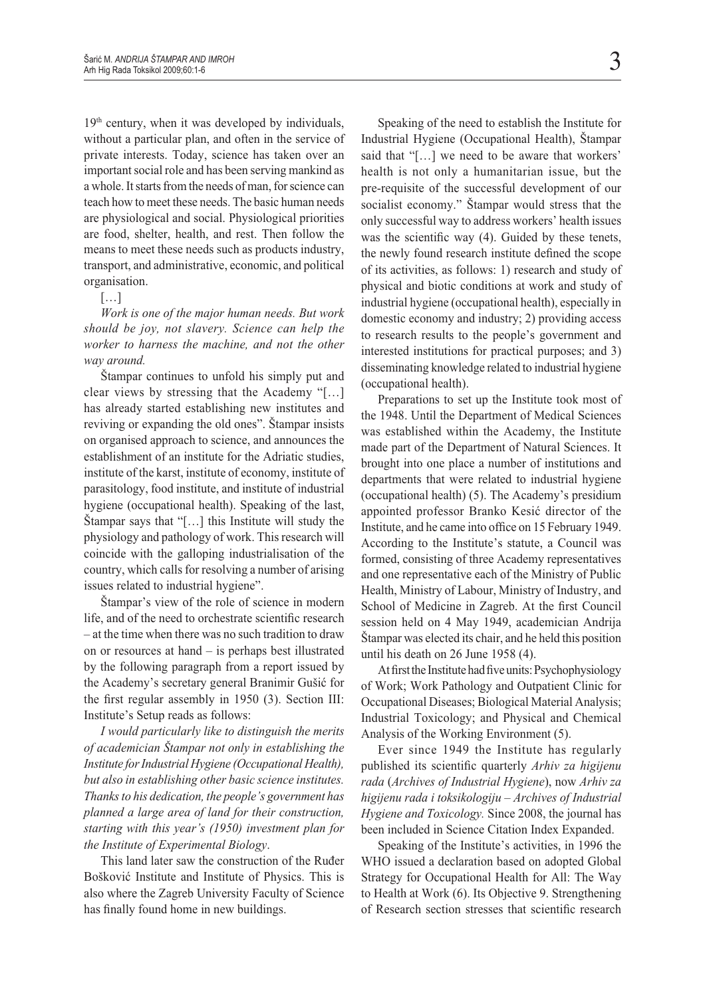19<sup>th</sup> century, when it was developed by individuals, without a particular plan, and often in the service of private interests. Today, science has taken over an important social role and has been serving mankind as a whole. It starts from the needs of man, for science can teach how to meet these needs. The basic human needs are physiological and social. Physiological priorities are food, shelter, health, and rest. Then follow the means to meet these needs such as products industry, transport, and administrative, economic, and political organisation.

[…]

*Work is one of the major human needs. But work should be joy, not slavery. Science can help the worker to harness the machine, and not the other way around.*

Štampar continues to unfold his simply put and clear views by stressing that the Academy "[…] has already started establishing new institutes and reviving or expanding the old ones". Štampar insists on organised approach to science, and announces the establishment of an institute for the Adriatic studies, institute of the karst, institute of economy, institute of parasitology, food institute, and institute of industrial hygiene (occupational health). Speaking of the last, Štampar says that "[…] this Institute will study the physiology and pathology of work. This research will coincide with the galloping industrialisation of the country, which calls for resolving a number of arising issues related to industrial hygiene".

Štampar's view of the role of science in modern life, and of the need to orchestrate scientific research – at the time when there was no such tradition to draw on or resources at hand – is perhaps best illustrated by the following paragraph from a report issued by the Academy's secretary general Branimir Gušić for the first regular assembly in  $1950$  (3). Section III: Institute's Setup reads as follows:

*I would particularly like to distinguish the merits of academician Štampar not only in establishing the Institute for Industrial Hygiene (Occupational Health), but also in establishing other basic science institutes. Thanks to his dedication, the people's government has planned a large area of land for their construction, starting with this year's (1950) investment plan for the Institute of Experimental Biology*.

This land later saw the construction of the Ruđer Bošković Institute and Institute of Physics. This is also where the Zagreb University Faculty of Science has finally found home in new buildings.

Speaking of the need to establish the Institute for Industrial Hygiene (Occupational Health), Štampar said that "[…] we need to be aware that workers' health is not only a humanitarian issue, but the pre-requisite of the successful development of our socialist economy." Štampar would stress that the only successful way to address workers' health issues was the scientific way  $(4)$ . Guided by these tenets, the newly found research institute defined the scope of its activities, as follows: 1) research and study of physical and biotic conditions at work and study of industrial hygiene (occupational health), especially in domestic economy and industry; 2) providing access to research results to the people's government and interested institutions for practical purposes; and 3) disseminating knowledge related to industrial hygiene (occupational health).

Preparations to set up the Institute took most of the 1948. Until the Department of Medical Sciences was established within the Academy, the Institute made part of the Department of Natural Sciences. It brought into one place a number of institutions and departments that were related to industrial hygiene (occupational health) (5). The Academy's presidium appointed professor Branko Kesić director of the Institute, and he came into office on 15 February 1949. According to the Institute's statute, a Council was formed, consisting of three Academy representatives and one representative each of the Ministry of Public Health, Ministry of Labour, Ministry of Industry, and School of Medicine in Zagreb. At the first Council session held on 4 May 1949, academician Andrija Štampar was elected its chair, and he held this position until his death on 26 June 1958 (4).

At first the Institute had five units: Psychophysiology of Work; Work Pathology and Outpatient Clinic for Occupational Diseases; Biological Material Analysis; Industrial Toxicology; and Physical and Chemical Analysis of the Working Environment (5).

Ever since 1949 the Institute has regularly published its scientific quarterly *Arhiv za higijenu rada* (*Archives of Industrial Hygiene*), now *Arhiv za higijenu rada i toksikologiju – Archives of Industrial Hygiene and Toxicology.* Since 2008, the journal has been included in Science Citation Index Expanded.

Speaking of the Institute's activities, in 1996 the WHO issued a declaration based on adopted Global Strategy for Occupational Health for All: The Way to Health at Work (6). Its Objective 9. Strengthening of Research section stresses that scientific research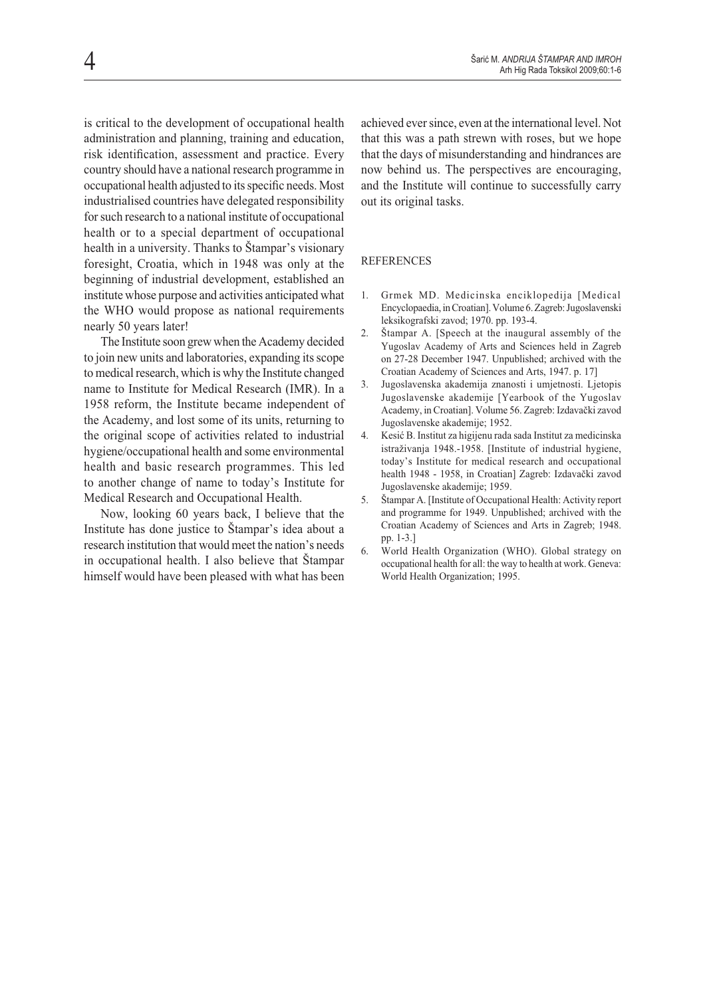is critical to the development of occupational health administration and planning, training and education, risk identification, assessment and practice. Every country should have a national research programme in occupational health adjusted to its specific needs. Most industrialised countries have delegated responsibility for such research to a national institute of occupational health or to a special department of occupational health in a university. Thanks to Štampar's visionary foresight, Croatia, which in 1948 was only at the beginning of industrial development, established an institute whose purpose and activities anticipated what the WHO would propose as national requirements nearly 50 years later!

The Institute soon grew when the Academy decided to join new units and laboratories, expanding its scope to medical research, which is why the Institute changed name to Institute for Medical Research (IMR). In a 1958 reform, the Institute became independent of the Academy, and lost some of its units, returning to the original scope of activities related to industrial hygiene/occupational health and some environmental health and basic research programmes. This led to another change of name to today's Institute for Medical Research and Occupational Health.

Now, looking 60 years back, I believe that the Institute has done justice to Štampar's idea about a research institution that would meet the nation's needs in occupational health. I also believe that Štampar himself would have been pleased with what has been

achieved ever since, even at the international level. Not that this was a path strewn with roses, but we hope that the days of misunderstanding and hindrances are now behind us. The perspectives are encouraging, and the Institute will continue to successfully carry out its original tasks.

## REFERENCES

- 1. Grmek MD. Medicinska enciklopedija [Medical Encyclopaedia, in Croatian]. Volume 6. Zagreb: Jugoslavenski leksikografski zavod; 1970. pp. 193-4.
- 2. Štampar A. [Speech at the inaugural assembly of the Yugoslav Academy of Arts and Sciences held in Zagreb on 27-28 December 1947. Unpublished; archived with the Croatian Academy of Sciences and Arts, 1947. p. 17]
- 3. Jugoslavenska akademija znanosti i umjetnosti. Ljetopis Jugoslavenske akademije [Yearbook of the Yugoslav Academy, in Croatian]. Volume 56. Zagreb: Izdavački zavod Jugoslavenske akademije; 1952.
- 4. Kesić B. Institut za higijenu rada sada Institut za medicinska istraživanja 1948.-1958. [Institute of industrial hygiene, today's Institute for medical research and occupational health 1948 - 1958, in Croatian] Zagreb: Izdavački zavod Jugoslavenske akademije; 1959.
- 5. Štampar A. [Institute of Occupational Health: Activity report and programme for 1949. Unpublished; archived with the Croatian Academy of Sciences and Arts in Zagreb; 1948. pp. 1-3.]
- 6. World Health Organization (WHO). Global strategy on occupational health for all: the way to health at work. Geneva: World Health Organization; 1995.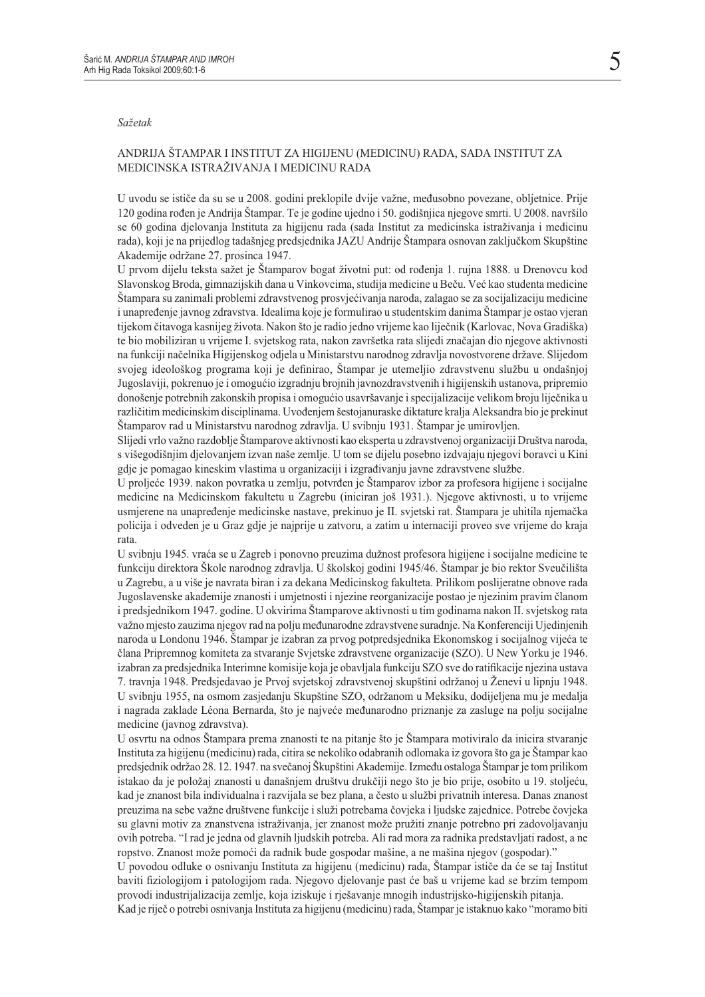## *Sažetak*

## ANDRIJA ŠTAMPAR I INSTITUT ZA HIGIJENU (MEDICINU) RADA, SADA INSTITUT ZA MEDICINSKA ISTRAŽIVANJA I MEDICINU RADA

U uvodu se ističe da su se u 2008. godini preklopile dvije važne, međusobno povezane, obljetnice. Prije 120 godina rođen je Andrija Štampar. Te je godine ujedno i 50. godišnjica njegove smrti. U 2008. navršilo se 60 godina djelovanja Instituta za higijenu rada (sada Institut za medicinska istraživanja i medicinu rada), koji je na prijedlog tadašnjeg predsjednika JAZU Andrije Štampara osnovan zaključkom Skupštine Akademije održane 27. prosinca 1947.

U prvom dijelu teksta sažet je Štamparov bogat životni put: od rođenja 1. rujna 1888. u Drenovcu kod Slavonskog Broda, gimnazijskih dana u Vinkovcima, studija medicine u Beču. Već kao studenta medicine Štampara su zanimali problemi zdravstvenog prosvjećivanja naroda, zalagao se za socijalizaciju medicine i unapređenje javnog zdravstva. Idealima koje je formulirao u studentskim danima Štampar je ostao vjeran tijekom čitavoga kasnijeg života. Nakon što je radio jedno vrijeme kao liječnik (Karlovac, Nova Gradiška) te bio mobiliziran u vrijeme I. svjetskog rata, nakon završetka rata slijedi značajan dio njegove aktivnosti na funkciji načelnika Higijenskog odjela u Ministarstvu narodnog zdravlja novostvorene države. Slijedom svojeg ideološkog programa koji je definirao. Štampar je utemeljio zdravstvenu službu u ondašnjoj Jugoslaviji, pokrenuo je i omogućio izgradnju brojnih javnozdravstvenih i higijenskih ustanova, pripremio donošenje potrebnih zakonskih propisa i omogućio usavršavanje i specijalizacije velikom broju liječnika u različitim medicinskim disciplinama. Uvođenjem šestojanuraske diktature kralja Aleksandra bio je prekinut Štamparov rad u Ministarstvu narodnog zdravlja. U svibnju 1931. Štampar je umirovljen.

Slijedi vrlo važno razdoblje Štamparove aktivnosti kao eksperta u zdravstvenoj organizaciji Društva naroda, s višegodišnjim djelovanjem izvan naše zemlje. U tom se dijelu posebno izdvajaju njegovi boravci u Kini gdje je pomagao kineskim vlastima u organizaciji i izgrađivanju javne zdravstvene službe.

U proljeće 1939. nakon povratka u zemlju, potvrđen je Štamparov izbor za profesora higijene i socijalne medicine na Medicinskom fakultetu u Zagrebu (iniciran još 1931.). Njegove aktivnosti, u to vrijeme usmjerene na unapređenje medicinske nastave, prekinuo je II. svjetski rat. Štampara je uhitila njemačka policija i odveden je u Graz gdje je najprije u zatvoru, a zatim u internaciji proveo sve vrijeme do kraja rata.

U svibnju 1945. vraća se u Zagreb i ponovno preuzima dužnost profesora higijene i socijalne medicine te funkciju direktora Škole narodnog zdravlja. U školskoj godini 1945/46. Štampar je bio rektor Sveučilišta u Zagrebu, a u više je navrata biran i za dekana Medicinskog fakulteta. Prilikom poslijeratne obnove rada Jugoslavenske akademije znanosti i umjetnosti i njezine reorganizacije postao je njezinim pravim članom i predsjednikom 1947. godine. U okvirima Štamparove aktivnosti u tim godinama nakon II. svjetskog rata važno mjesto zauzima njegov rad na polju međunarodne zdravstvene suradnje. Na Konferenciji Ujedinjenih naroda u Londonu 1946. Štampar je izabran za prvog potpredsjednika Ekonomskog i socijalnog vijeća te člana Pripremnog komiteta za stvaranje Svjetske zdravstvene organizacije (SZO). U New Yorku je 1946. izabran za predsjednika Interimne komisije koja je obavljala funkciju SZO sve do ratifi kacije njezina ustava 7. travnja 1948. Predsjedavao je Prvoj svjetskoj zdravstvenoj skupštini održanoj u Ženevi u lipnju 1948. U svibnju 1955, na osmom zasjedanju Skupštine SZO, održanom u Meksiku, dodijeljena mu je medalja i nagrada zaklade Léona Bernarda, što je najveće međunarodno priznanje za zasluge na polju socijalne medicine (javnog zdravstva).

U osvrtu na odnos Štampara prema znanosti te na pitanje što je Štampara motiviralo da inicira stvaranje Instituta za higijenu (medicinu) rada, citira se nekoliko odabranih odlomaka iz govora što ga je Štampar kao predsjednik održao 28. 12. 1947. na svečanoj Škupštini Akademije. Između ostaloga Štampar je tom prilikom istakao da je položaj znanosti u današnjem društvu drukčiji nego što je bio prije, osobito u 19. stoljeću, kad je znanost bila individualna i razvijala se bez plana, a često u službi privatnih interesa. Danas znanost preuzima na sebe važne društvene funkcije i služi potrebama čovjeka i ljudske zajednice. Potrebe čovjeka su glavni motiv za znanstvena istraživanja, jer znanost može pružiti znanje potrebno pri zadovoljavanju ovih potreba. "I rad je jedna od glavnih ljudskih potreba. Ali rad mora za radnika predstavljati radost, a ne ropstvo. Znanost može pomoći da radnik bude gospodar mašine, a ne mašina njegov (gospodar)."

U povodou odluke o osnivanju Instituta za higijenu (medicinu) rada, Štampar ističe da će se taj Institut baviti fi ziologijom i patologijom rada. Njegovo djelovanje past će baš u vrijeme kad se brzim tempom provodi industrijalizacija zemlje, koja iziskuje i rješavanje mnogih industrijsko-higijenskih pitanja.

Kad je riječ o potrebi osnivanja Instituta za higijenu (medicinu) rada, Štampar je istaknuo kako "moramo biti